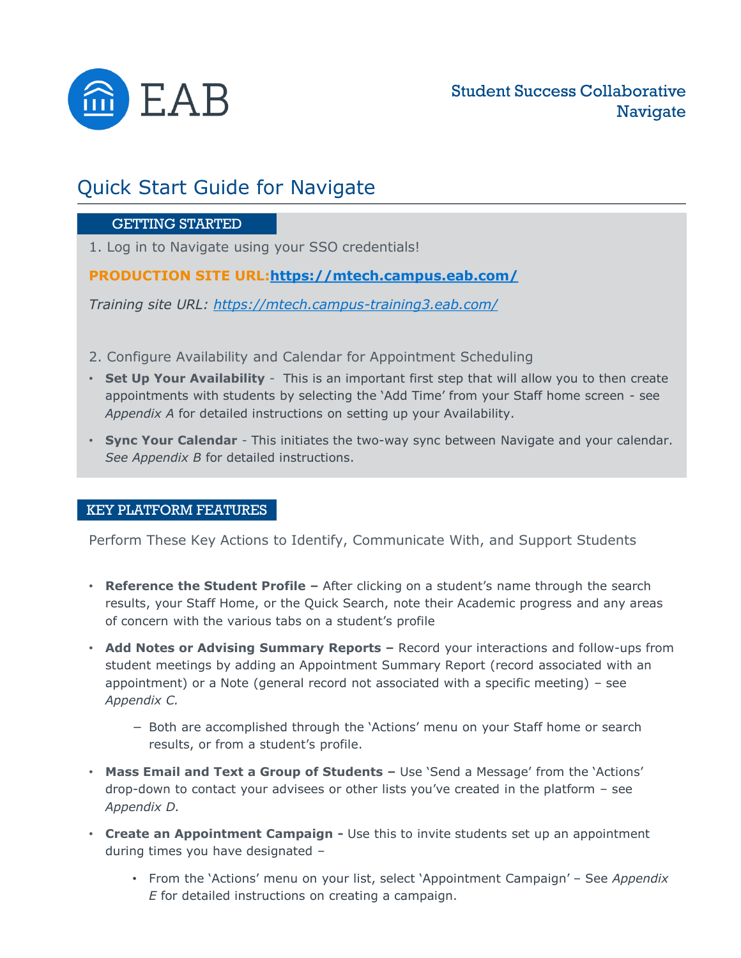

## Quick Start Guide for Navigate

#### GETTING STARTED

1. Log in to Navigate using your SSO credentials!

**PRODUCTION SITE URL[:https://mtech.campus.eab.com/](https://mtech.campus.eab.com/)**

*Training site URL:<https://mtech.campus-training3.eab.com/>*

- 2. Configure Availability and Calendar for Appointment Scheduling
- **Set Up Your Availability**  This is an important first step that will allow you to then create appointments with students by selecting the 'Add Time' from your Staff home screen - see *Appendix A* for detailed instructions on setting up your Availability.
- **Sync Your Calendar**  This initiates the two-way sync between Navigate and your calendar. *See Appendix B* for detailed instructions.

#### KEY PLATFORM FEATURES

Perform These Key Actions to Identify, Communicate With, and Support Students

- **Reference the Student Profile –** After clicking on a student's name through the search results, your Staff Home, or the Quick Search, note their Academic progress and any areas of concern with the various tabs on a student's profile
- **Add Notes or Advising Summary Reports –** Record your interactions and follow-ups from student meetings by adding an Appointment Summary Report (record associated with an appointment) or a Note (general record not associated with a specific meeting) – see *Appendix C.*
	- − Both are accomplished through the 'Actions' menu on your Staff home or search results, or from a student's profile.
- **Mass Email and Text a Group of Students –** Use 'Send a Message' from the 'Actions' drop-down to contact your advisees or other lists you've created in the platform – see *Appendix D.*
- **Create an Appointment Campaign -** Use this to invite students set up an appointment during times you have designated –
	- From the 'Actions' menu on your list, select 'Appointment Campaign' See *Appendix E* for detailed instructions on creating a campaign.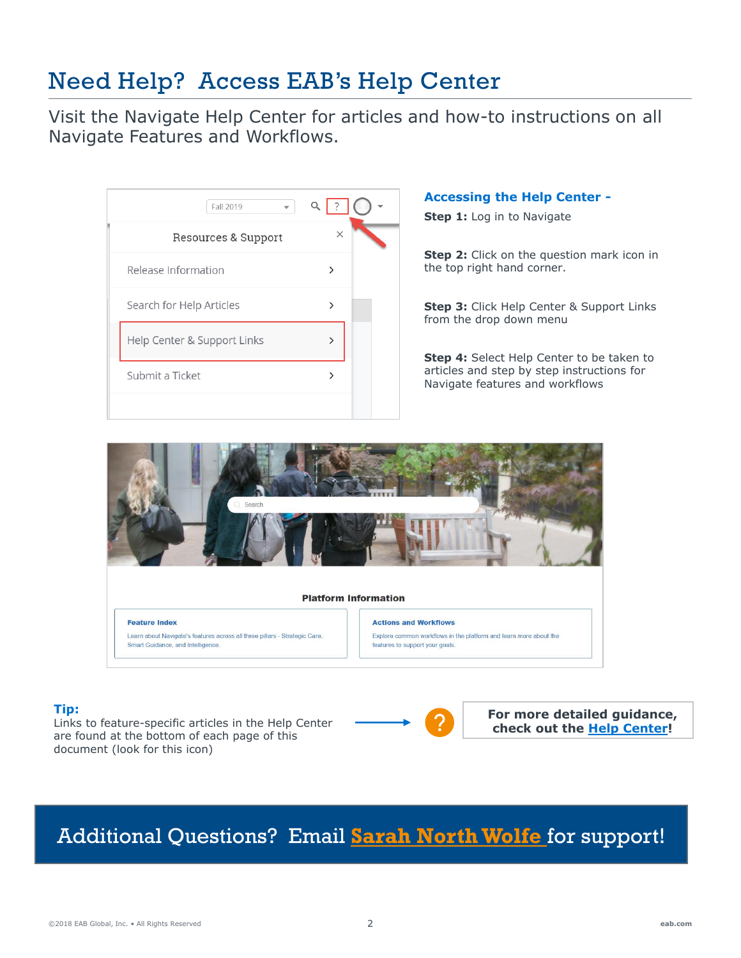# Need Help? Access EAB's Help Center

Visit the Navigate Help Center for articles and how-to instructions on all Navigate Features and Workflows.

| Fall 2019                   | Q        |
|-----------------------------|----------|
| Resources & Support         | $\times$ |
| Release Information         | ゝ        |
| Search for Help Articles    | ゝ        |
| Help Center & Support Links | ↘        |
| Submit a Ticket             |          |
|                             |          |

#### **Accessing the Help Center -**

**Step 1:** Log in to Navigate

**Step 2:** Click on the question mark icon in the top right hand corner.

**Step 3:** Click Help Center & Support Links from the drop down menu

**Step 4:** Select Help Center to be taken to articles and step by step instructions for Navigate features and workflows



#### **Tip:**

Links to feature-specific articles in the Help Center are found at the bottom of each page of this document (look for this icon)



**For more detailed guidance, check out the [Help Center](https://support.gradesfirst.com/hc/en-us/articles/360014072874-My-Availability)!**

# Additional Questions? Email **[Sarah North Wolfe](mailto:snorthwolfe@mtech.edu?subject=EAB%20Navigate%20Question)** for support!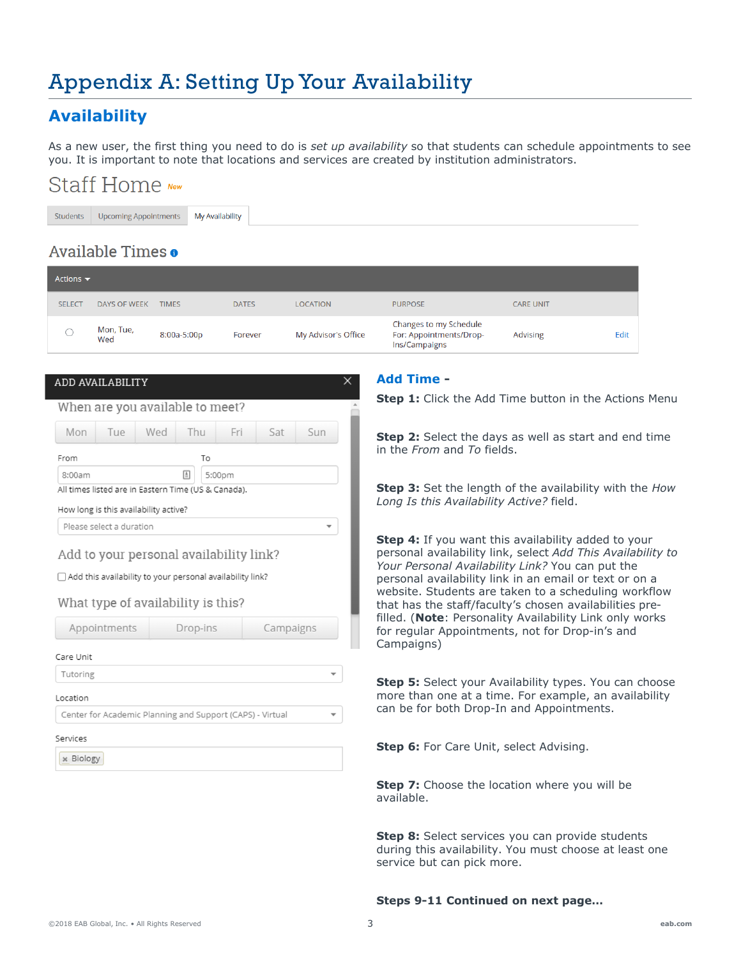# Appendix A: Setting Up Your Availability

### **Availability**

As a new user, the first thing you need to do is *set up availability* so that students can schedule appointments to see you. It is important to note that locations and services are created by institution administrators.

# Staff Home New

Students **Upcoming Appointments** My Availability

### Available Times o

| Actions $\blacktriangledown$ |                                       |                                                                                                        |              |                          |                                                                                                                                                                                                                                  |                  |      |  |  |
|------------------------------|---------------------------------------|--------------------------------------------------------------------------------------------------------|--------------|--------------------------|----------------------------------------------------------------------------------------------------------------------------------------------------------------------------------------------------------------------------------|------------------|------|--|--|
| <b>SELECT</b>                | <b>DAYS OF WEEK</b>                   | <b>TIMES</b>                                                                                           | <b>DATES</b> | <b>LOCATION</b>          | <b>PURPOSE</b>                                                                                                                                                                                                                   | <b>CARE UNIT</b> |      |  |  |
| $\bigcirc$                   | Mon, Tue,<br>Wed                      | 8:00a-5:00p                                                                                            | Forever      | My Advisor's Office      | Changes to my Schedule<br>For: Appointments/Drop-<br>Ins/Campaigns                                                                                                                                                               | <b>Advising</b>  | Edit |  |  |
|                              | ADD AVAILABILITY                      |                                                                                                        |              | X.                       | <b>Add Time -</b>                                                                                                                                                                                                                |                  |      |  |  |
|                              |                                       | When are you available to meet?                                                                        |              |                          | Step 1: Click the Add Time button in the Actions Menu                                                                                                                                                                            |                  |      |  |  |
|                              |                                       |                                                                                                        |              |                          |                                                                                                                                                                                                                                  |                  |      |  |  |
| Mon                          | Tue                                   | Wed<br>Thu                                                                                             | Fri<br>Sat   | <b>Sun</b>               | Step 2: Select the days as well as start and end time<br>in the <i>From</i> and <i>To</i> fields.                                                                                                                                |                  |      |  |  |
| From                         |                                       | To                                                                                                     |              |                          |                                                                                                                                                                                                                                  |                  |      |  |  |
| 8:00am                       |                                       | 囼<br>5:00pm<br>All times listed are in Eastern Time (US & Canada).                                     |              |                          | Step 3: Set the length of the availability with the How                                                                                                                                                                          |                  |      |  |  |
|                              | How long is this availability active? |                                                                                                        |              |                          | Long Is this Availability Active? field.                                                                                                                                                                                         |                  |      |  |  |
|                              | Please select a duration              |                                                                                                        |              | $\overline{\phantom{0}}$ |                                                                                                                                                                                                                                  |                  |      |  |  |
|                              |                                       | Add to your personal availability link?<br>□ Add this availability to your personal availability link? |              |                          | Step 4: If you want this availability added to your<br>personal availability link, select Add This Availability to<br>Your Personal Availability Link? You can put the<br>personal availability link in an email or text or on a |                  |      |  |  |
|                              |                                       | What type of availability is this?                                                                     |              |                          | website. Students are taken to a scheduling workflow<br>that has the staff/faculty's chosen availabilities pre-                                                                                                                  |                  |      |  |  |
|                              | Appointments                          | Drop-ins                                                                                               |              | Campaigns                | filled. (Note: Personality Availability Link only works<br>for regular Appointments, not for Drop-in's and                                                                                                                       |                  |      |  |  |
| Care Unit                    |                                       |                                                                                                        |              |                          | Campaigns)                                                                                                                                                                                                                       |                  |      |  |  |
| Tutoring                     |                                       |                                                                                                        |              |                          | Step 5: Select your Availability types. You can choose                                                                                                                                                                           |                  |      |  |  |
| Location                     |                                       |                                                                                                        |              |                          | more than one at a time. For example, an availability                                                                                                                                                                            |                  |      |  |  |
|                              |                                       | Center for Academic Planning and Support (CAPS) - Virtual                                              |              |                          | can be for both Drop-In and Appointments.                                                                                                                                                                                        |                  |      |  |  |
| Services                     |                                       |                                                                                                        |              |                          |                                                                                                                                                                                                                                  |                  |      |  |  |
| <b>* Biology</b>             |                                       |                                                                                                        |              |                          | <b>Step 6:</b> For Care Unit, select Advising.                                                                                                                                                                                   |                  |      |  |  |
|                              |                                       |                                                                                                        |              |                          | <b>Step 7:</b> Choose the location where you will be                                                                                                                                                                             |                  |      |  |  |

**Step 8:** Select services you can provide students during this availability. You must choose at least one service but can pick more.

#### **Steps 9-11 Continued on next page…**

available.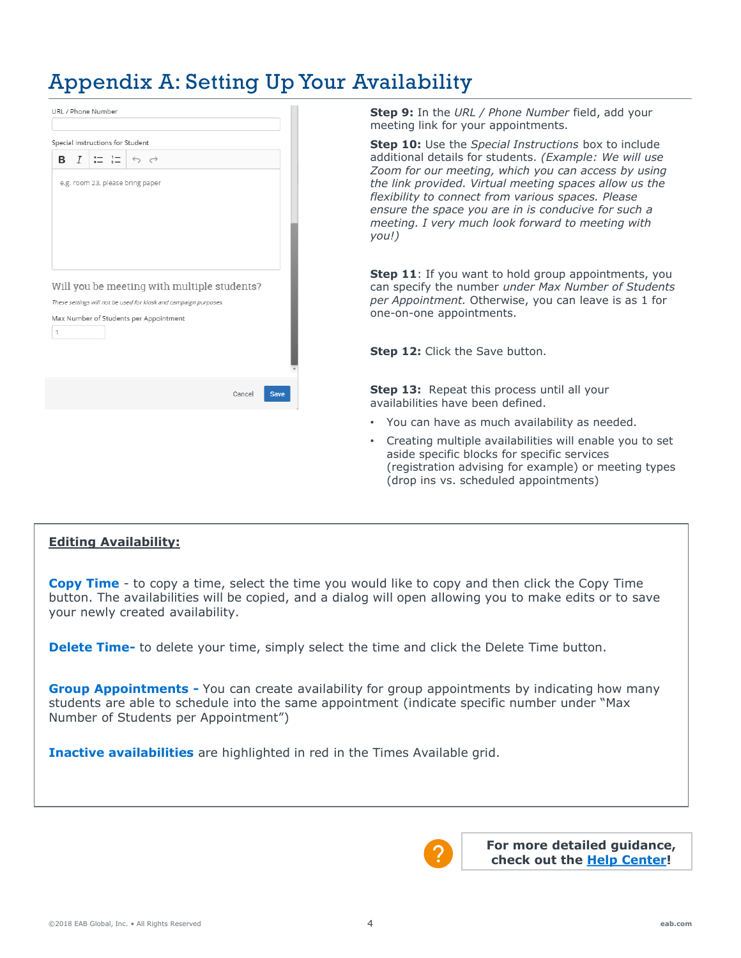# Appendix A: Setting Up Your Availability

|   |                |               | Special Instructions for Student                                 |        |      |
|---|----------------|---------------|------------------------------------------------------------------|--------|------|
| в | $\overline{I}$ | $\frac{1}{2}$ | $\leftrightarrow$ $\rightarrow$                                  |        |      |
|   |                |               |                                                                  |        |      |
|   |                |               | e.g. room 23, please bring paper                                 |        |      |
|   |                |               |                                                                  |        |      |
|   |                |               |                                                                  |        |      |
|   |                |               |                                                                  |        |      |
|   |                |               |                                                                  |        |      |
|   |                |               |                                                                  |        |      |
|   |                |               |                                                                  |        |      |
|   |                |               |                                                                  |        |      |
|   |                |               |                                                                  |        |      |
|   |                |               |                                                                  |        |      |
|   |                |               | Will you be meeting with multiple students?                      |        |      |
|   |                |               |                                                                  |        |      |
|   |                |               | These settings will not be used for kiosk and campaign purposes. |        |      |
|   |                |               | Max Number of Students per Appointment                           |        |      |
| 1 |                |               |                                                                  |        |      |
|   |                |               |                                                                  |        |      |
|   |                |               |                                                                  |        |      |
|   |                |               |                                                                  |        |      |
|   |                |               |                                                                  |        |      |
|   |                |               |                                                                  |        |      |
|   |                |               |                                                                  | Cancel |      |
|   |                |               |                                                                  |        | Save |
|   |                |               |                                                                  |        |      |

**Step 9:** In the *URL / Phone Number* field, add your meeting link for your appointments.

**Step 10:** Use the *Special Instructions* box to include additional details for students. *(Example: We will use Zoom for our meeting, which you can access by using the link provided. Virtual meeting spaces allow us the flexibility to connect from various spaces. Please ensure the space you are in is conducive for such a meeting. I very much look forward to meeting with you!)*

**Step 11:** If you want to hold group appointments, you can specify the number *under Max Number of Students per Appointment.* Otherwise, you can leave is as 1 for one-on-one appointments.

**Step 12: Click the Save button.** 

**Step 13:** Repeat this process until all your availabilities have been defined.

- You can have as much availability as needed.
- Creating multiple availabilities will enable you to set aside specific blocks for specific services (registration advising for example) or meeting types (drop ins vs. scheduled appointments)

#### **Editing Availability:**

**Copy Time** - to copy a time, select the time you would like to copy and then click the Copy Time button. The availabilities will be copied, and a dialog will open allowing you to make edits or to save your newly created availability.

**Delete Time-** to delete your time, simply select the time and click the Delete Time button.

**Group Appointments -** You can create availability for group appointments by indicating how many students are able to schedule into the same appointment (indicate specific number under "Max Number of Students per Appointment")

**Inactive availabilities** are highlighted in red in the Times Available grid.

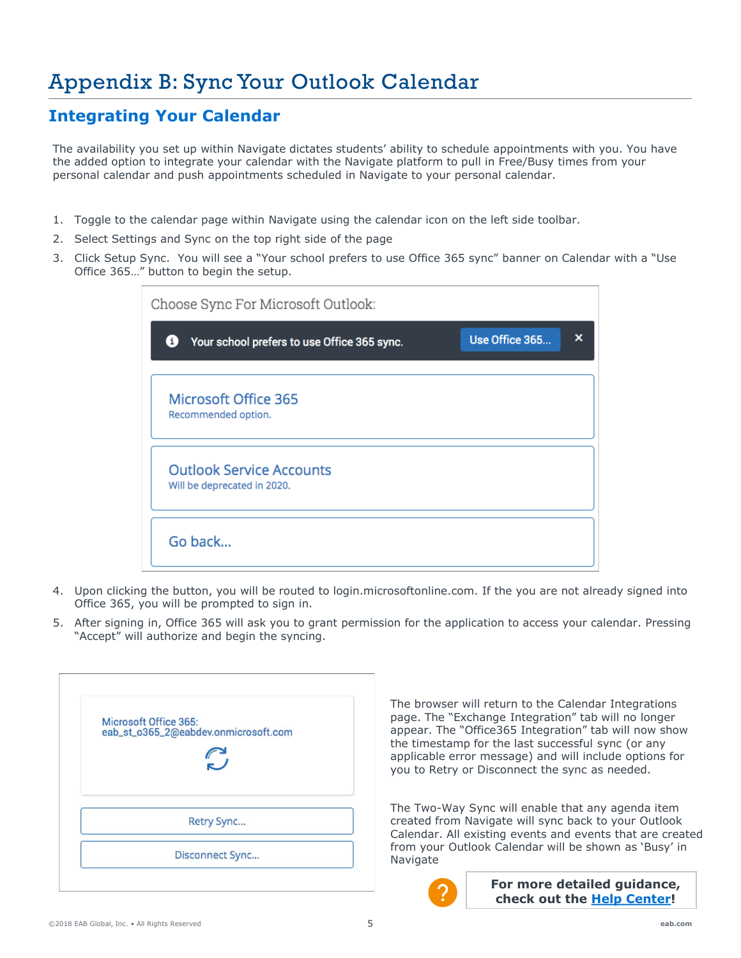### **Integrating Your Calendar**

The availability you set up within Navigate dictates students' ability to schedule appointments with you. You have the added option to integrate your calendar with the Navigate platform to pull in Free/Busy times from your personal calendar and push appointments scheduled in Navigate to your personal calendar.

- 1. Toggle to the calendar page within Navigate using the calendar icon on the left side toolbar.
- 2. Select Settings and Sync on the top right side of the page
- 3. Click Setup Sync. You will see a "Your school prefers to use Office 365 sync" banner on Calendar with a "Use Office 365…" button to begin the setup.

| Choose Sync For Microsoft Outlook:                             |                |   |
|----------------------------------------------------------------|----------------|---|
| Your school prefers to use Office 365 sync.<br>0               | Use Office 365 | × |
| Microsoft Office 365<br>Recommended option.                    |                |   |
| <b>Outlook Service Accounts</b><br>Will be deprecated in 2020. |                |   |
| Go back                                                        |                |   |

- 4. Upon clicking the button, you will be routed to login.microsoftonline.com. If the you are not already signed into Office 365, you will be prompted to sign in.
- 5. After signing in, Office 365 will ask you to grant permission for the application to access your calendar. Pressing "Accept" will authorize and begin the syncing.

| Microsoft Office 365: |                                      |  |
|-----------------------|--------------------------------------|--|
|                       | eab_st_o365_2@eabdev.onmicrosoft.com |  |
|                       |                                      |  |
|                       |                                      |  |
|                       |                                      |  |
|                       | Retry Sync                           |  |
|                       | Disconnect Sync                      |  |

The browser will return to the Calendar Integrations page. The "Exchange Integration" tab will no longer appear. The "Office365 Integration" tab will now show the timestamp for the last successful sync (or any applicable error message) and will include options for you to Retry or Disconnect the sync as needed.

The Two-Way Sync will enable that any agenda item created from Navigate will sync back to your Outlook Calendar. All existing events and events that are created from your Outlook Calendar will be shown as 'Busy' in Navigate

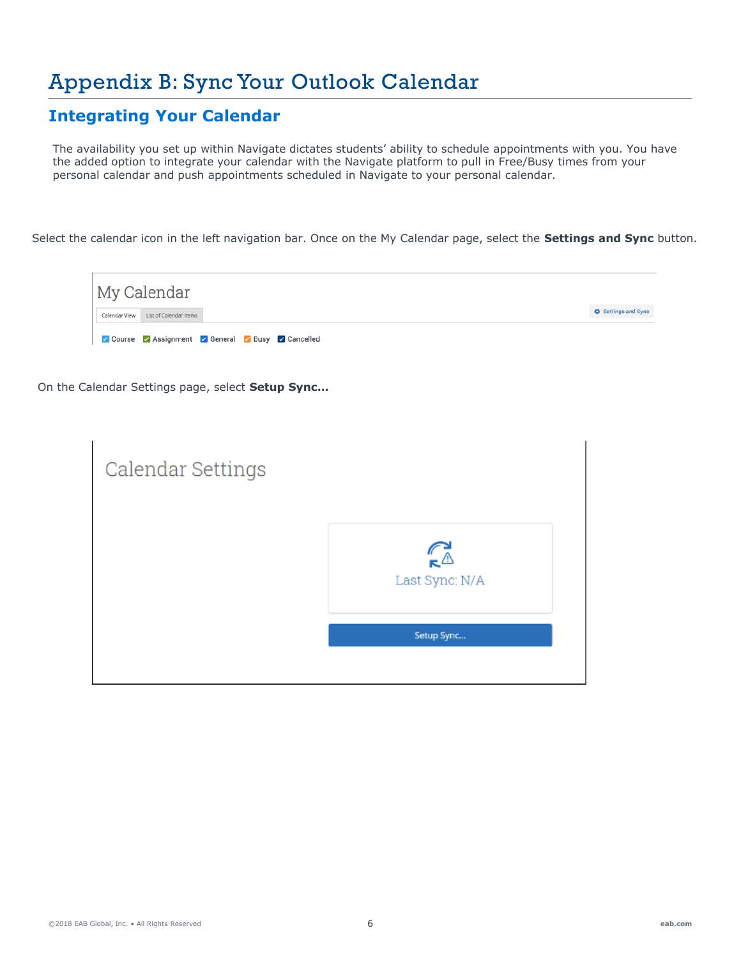### **Integrating Your Calendar**

The availability you set up within Navigate dictates students' ability to schedule appointments with you. You have the added option to integrate your calendar with the Navigate platform to pull in Free/Busy times from your personal calendar and push appointments scheduled in Navigate to your personal calendar.

Select the calendar icon in the left navigation bar. Once on the My Calendar page, select the **Settings and Sync** button.



On the Calendar Settings page, select **Setup Sync…**

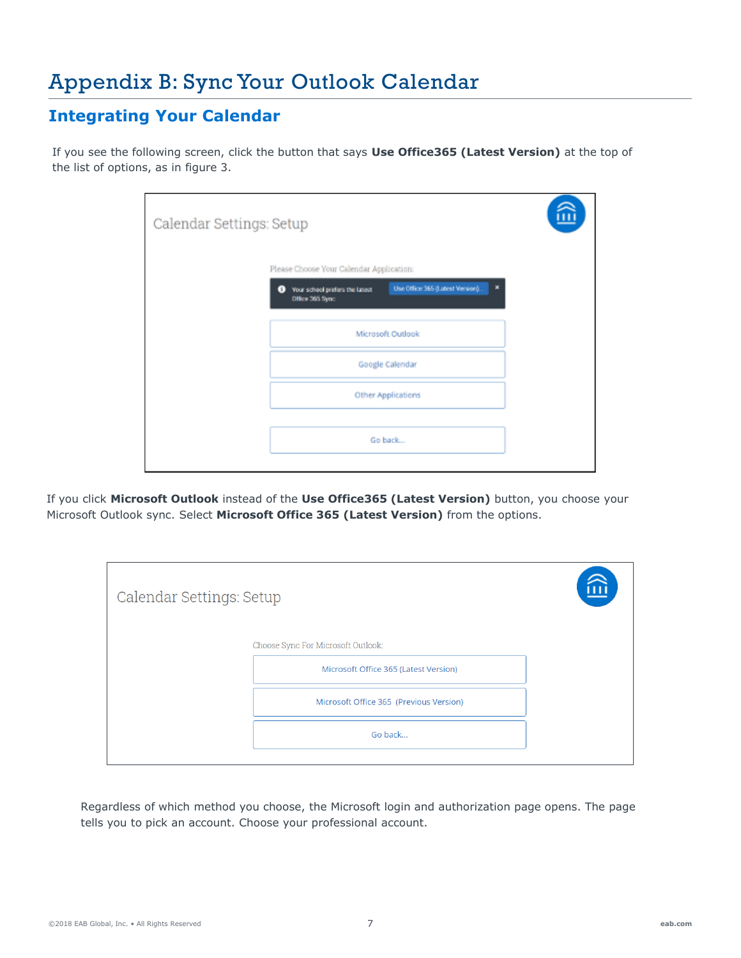### **Integrating Your Calendar**

If you see the following screen, click the button that says **Use Office365 (Latest Version)** at the top of the list of options, as in figure 3.

| Calendar Settings: Setup |                                                                                                          |  |
|--------------------------|----------------------------------------------------------------------------------------------------------|--|
|                          | Please Choose Your Calendar Application:                                                                 |  |
|                          | Use Office 365 (Latest Version).<br>×<br>Your school prefers the latest<br>$\bullet$<br>Office 365 Sync. |  |
|                          | Microsoft Outlook                                                                                        |  |
|                          | Google Calendar                                                                                          |  |
|                          | Other Applications                                                                                       |  |
|                          | Go back                                                                                                  |  |
|                          |                                                                                                          |  |

If you click **Microsoft Outlook** instead of the **Use Office365 (Latest Version)** button, you choose your Microsoft Outlook sync. Select **Microsoft Office 365 (Latest Version)** from the options.

| Calendar Settings: Setup |                                                                             | $\widehat{\mathbb{E}}$ |
|--------------------------|-----------------------------------------------------------------------------|------------------------|
|                          | Choose Sync For Microsoft Outlook:<br>Microsoft Office 365 (Latest Version) |                        |
|                          | Microsoft Office 365 (Previous Version)                                     |                        |
|                          | Go back                                                                     |                        |

Regardless of which method you choose, the Microsoft login and authorization page opens. The page tells you to pick an account. Choose your professional account.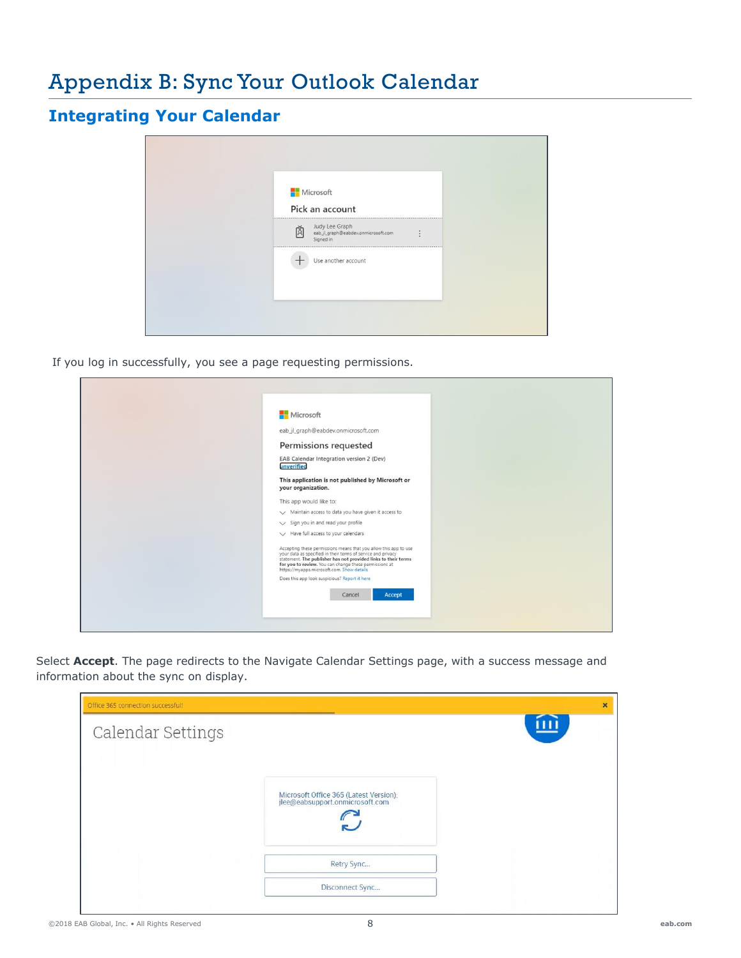### **Integrating Your Calendar**

| Microsoft                                                                                                                  |  |
|----------------------------------------------------------------------------------------------------------------------------|--|
| Pick an account                                                                                                            |  |
| $\begin{tabular}{ll} \bf{M} & \tt Judy Lee Graph \\ \bf{eab\_j\_graph@esbdev.omm} \\ \bf{\small{Signed in}} \end{tabular}$ |  |
| <br>Use another account                                                                                                    |  |
|                                                                                                                            |  |

If you log in successfully, you see a page requesting permissions.

| Microsoft                                                                                                                                                                                                                                                                                                  |
|------------------------------------------------------------------------------------------------------------------------------------------------------------------------------------------------------------------------------------------------------------------------------------------------------------|
| eab_jl_graph@eabdev.onmicrosoft.com                                                                                                                                                                                                                                                                        |
|                                                                                                                                                                                                                                                                                                            |
| Permissions requested                                                                                                                                                                                                                                                                                      |
| EAB Calendar Integration version 2 (Dev)<br>unverified                                                                                                                                                                                                                                                     |
|                                                                                                                                                                                                                                                                                                            |
| This application is not published by Microsoft or                                                                                                                                                                                                                                                          |
| your organization.                                                                                                                                                                                                                                                                                         |
| This app would like to:                                                                                                                                                                                                                                                                                    |
| Maintain access to data you have given it access to                                                                                                                                                                                                                                                        |
| $\vee$ Sign you in and read your profile                                                                                                                                                                                                                                                                   |
| $\vee$ Have full access to your calendars                                                                                                                                                                                                                                                                  |
| Accepting these permissions means that you allow this app to use<br>your data as specified in their terms of service and privacy<br>statement. The publisher has not provided links to their terms<br>for you to review. You can change these permissions at<br>https://myapps.microsoft.com. Show details |
| Does this app look suspicious? Report it here                                                                                                                                                                                                                                                              |
|                                                                                                                                                                                                                                                                                                            |
| <b>Accept</b><br>Cancel                                                                                                                                                                                                                                                                                    |
|                                                                                                                                                                                                                                                                                                            |
|                                                                                                                                                                                                                                                                                                            |

Select **Accept**. The page redirects to the Navigate Calendar Settings page, with a success message and information about the sync on display.

| Office 365 connection successful! |                                                                           | $\boldsymbol{\times}$     |
|-----------------------------------|---------------------------------------------------------------------------|---------------------------|
| Calendar Settings                 |                                                                           | $\overline{\mathfrak{m}}$ |
|                                   | Microsoft Office 365 (Latest Version):<br>jlee@eabsupport.onmicrosoft.com |                           |
|                                   | Retry Sync                                                                |                           |
|                                   | Disconnect Sync                                                           |                           |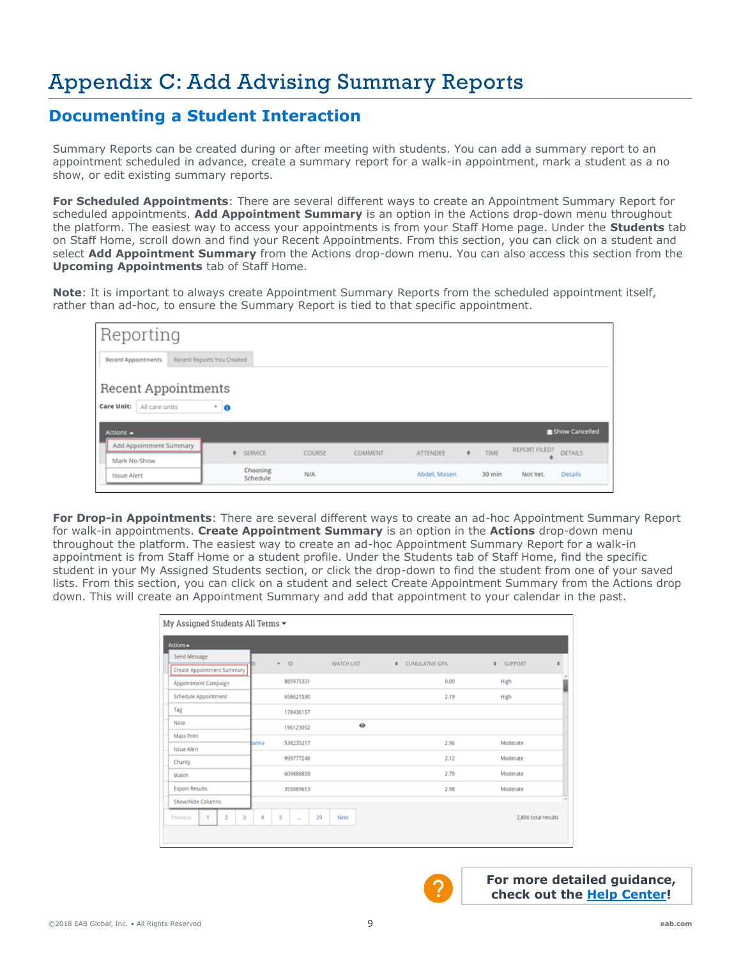# Appendix C: Add Advising Summary Reports

### **Documenting a Student Interaction**

Summary Reports can be created during or after meeting with students. You can add a summary report to an appointment scheduled in advance, create a summary report for a walk-in appointment, mark a student as a no show, or edit existing summary reports.

**For Scheduled Appointments**: There are several different ways to create an Appointment Summary Report for scheduled appointments. **Add Appointment Summary** is an option in the Actions drop-down menu throughout the platform. The easiest way to access your appointments is from your Staff Home page. Under the **Students** tab on Staff Home, scroll down and find your Recent Appointments. From this section, you can click on a student and select **Add Appointment Summary** from the Actions drop-down menu. You can also access this section from the **Upcoming Appointments** tab of Staff Home.

**Note**: It is important to always create Appointment Summary Reports from the scheduled appointment itself, rather than ad-hoc, to ensure the Summary Report is tied to that specific appointment.

| Reporting                                                         |                            |         |                      |               |         |              |        |                      |                |
|-------------------------------------------------------------------|----------------------------|---------|----------------------|---------------|---------|--------------|--------|----------------------|----------------|
| Recent Appointments                                               | Recent Reports You Created |         |                      |               |         |              |        |                      |                |
| <b>Recent Appointments</b><br><b>Care Unit:</b><br>All care units |                            | ٠<br>10 |                      |               |         |              |        |                      |                |
| Actions $\triangle$                                               |                            |         |                      |               |         |              |        |                      | Show Cancelled |
| Add Appointment Summary<br>Mark No-Show                           |                            | ۰       | SERVICE              | <b>COURSE</b> | COMMENT | ATTENDEE     | TIME   | <b>REPORT FILED?</b> | DETAILS        |
| <b>Issue Alert</b>                                                |                            |         | Choosing<br>Schedule | N/A           |         | Abdel, Masen | 30 min | Not Yet.             | <b>Details</b> |

**For Drop-in Appointments**: There are several different ways to create an ad-hoc Appointment Summary Report for walk-in appointments. **Create Appointment Summary** is an option in the **Actions** drop-down menu throughout the platform. The easiest way to create an ad-hoc Appointment Summary Report for a walk-in appointment is from Staff Home or a student profile. Under the Students tab of Staff Home, find the specific student in your My Assigned Students section, or click the drop-down to find the student from one of your saved lists. From this section, you can click on a student and select Create Appointment Summary from the Actions drop down. This will create an Appointment Summary and add that appointment to your calendar in the past.

| My Assigned Students All Terms $\blacktriangledown$ |        |                     |                   |                            |                     |
|-----------------------------------------------------|--------|---------------------|-------------------|----------------------------|---------------------|
| Actions A                                           |        |                     |                   |                            |                     |
| Send Message<br>Create Appointment Summary          | ٠      | ID                  | <b>WATCH LIST</b> | ۰<br><b>CUMULATIVE GPA</b> | SUPPORT<br>۰        |
| Appointment Campaign                                |        | 885975301           |                   | 0.00                       | High                |
| Schedule Appointment                                |        | 658621590           |                   | 2.19                       | High                |
| Tag                                                 |        | 178436157           |                   |                            |                     |
| Note                                                |        | 196123052           | ۰                 |                            |                     |
| Mass Print<br><b>Issue Alert</b>                    | lanira | 538235217           |                   | 2.96                       | Moderate            |
| Charity                                             |        | 999777248           |                   | 2.12                       | Moderate            |
| Watch                                               |        | 609888859           |                   | 2.79                       | Moderate            |
| <b>Export Results</b>                               |        | 355089613           |                   | 2.98                       | Moderate            |
| Show/Hide Columns                                   |        |                     |                   |                            |                     |
| $\overline{2}$<br>3<br>Previous                     | 4      | 29<br>5<br>$\cdots$ | Next              |                            | 2,806 total results |
|                                                     |        |                     |                   |                            |                     |

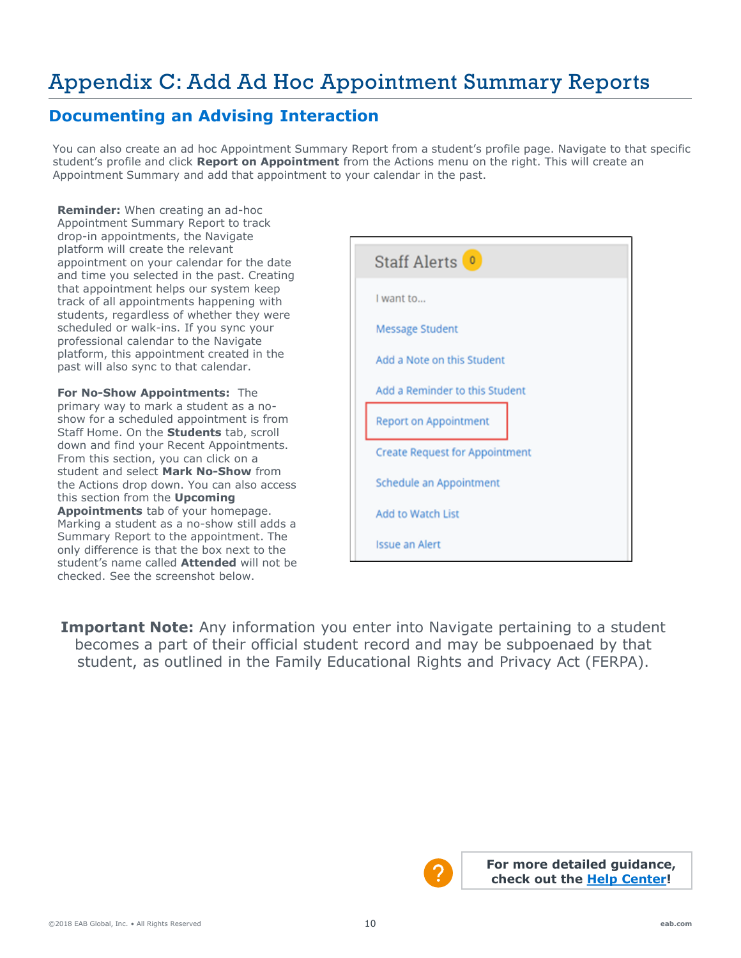# Appendix C: Add Ad Hoc Appointment Summary Reports

### **Documenting an Advising Interaction**

You can also create an ad hoc Appointment Summary Report from a student's profile page. Navigate to that specific student's profile and click **Report on Appointment** from the Actions menu on the right. This will create an Appointment Summary and add that appointment to your calendar in the past.

**Reminder:** When creating an ad-hoc Appointment Summary Report to track drop-in appointments, the Navigate platform will create the relevant appointment on your calendar for the date and time you selected in the past. Creating that appointment helps our system keep track of all appointments happening with students, regardless of whether they were scheduled or walk-ins. If you sync your professional calendar to the Navigate platform, this appointment created in the past will also sync to that calendar.

**For No-Show Appointments:** The primary way to mark a student as a noshow for a scheduled appointment is from Staff Home. On the **Students** tab, scroll down and find your Recent Appointments. From this section, you can click on a student and select **Mark No-Show** from the Actions drop down. You can also access this section from the **Upcoming Appointments** tab of your homepage. Marking a student as a no-show still adds a Summary Report to the appointment. The only difference is that the box next to the student's name called **Attended** will not be checked. See the screenshot below.

| Staff Alerts <sup>0</sup>             |
|---------------------------------------|
| I want to                             |
| <b>Message Student</b>                |
| Add a Note on this Student            |
| Add a Reminder to this Student        |
| <b>Report on Appointment</b>          |
| <b>Create Request for Appointment</b> |
| Schedule an Appointment               |
| <b>Add to Watch List</b>              |
| <b>Issue an Alert</b>                 |

**Important Note:** Any information you enter into Navigate pertaining to a student becomes a part of their official student record and may be subpoenaed by that student, as outlined in the Family Educational Rights and Privacy Act (FERPA).

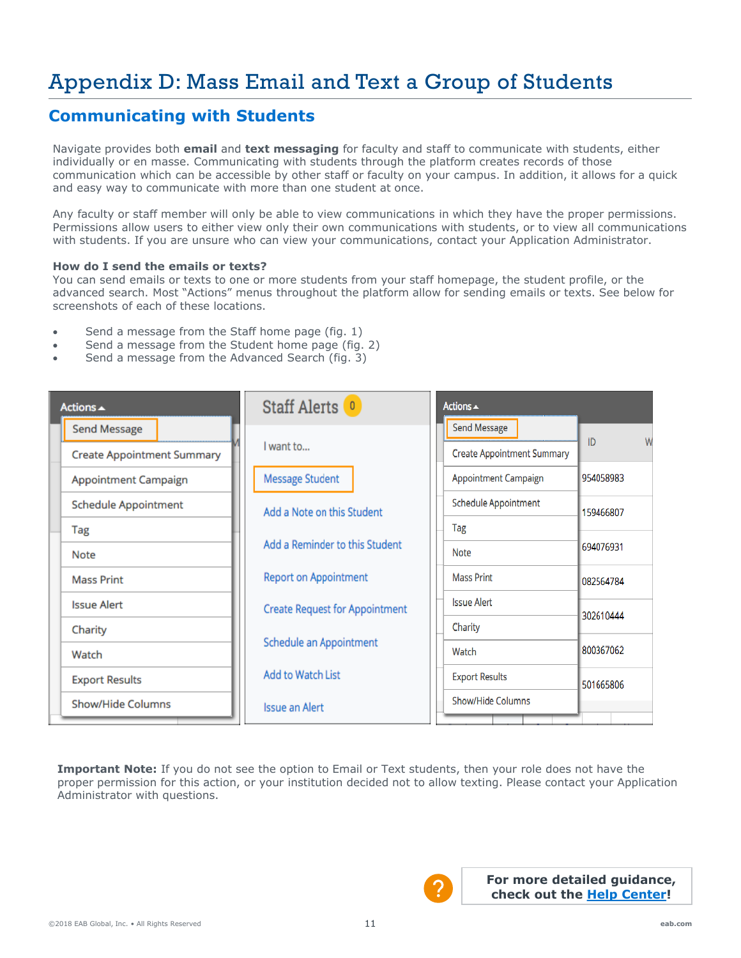# Appendix D: Mass Email and Text a Group of Students

### **Communicating with Students**

Navigate provides both **email** and **text messaging** for faculty and staff to communicate with students, either individually or en masse. Communicating with students through the platform creates records of those communication which can be accessible by other staff or faculty on your campus. In addition, it allows for a quick and easy way to communicate with more than one student at once.

Any faculty or staff member will only be able to view communications in which they have the proper permissions. Permissions allow users to either view only their own communications with students, or to view all communications with students. If you are unsure who can view your communications, contact your Application Administrator.

#### **How do I send the emails or texts?**

You can send emails or texts to one or more students from your staff homepage, the student profile, or the advanced search. Most "Actions" menus throughout the platform allow for sending emails or texts. See below for screenshots of each of these locations.

- Send a message from the Staff home page (fig. 1)
- Send a message from the Student home page (fig. 2)
- Send a message from the Advanced Search (fig. 3)  $S_{\rm eff}$  , and the Advanced Search (fig. 3)

| Actions $\triangle$                               | Staff Alerts <sup>0</sup>                               | Actions $\triangle$                          |
|---------------------------------------------------|---------------------------------------------------------|----------------------------------------------|
| <b>Send Message</b>                               |                                                         | <b>Send Message</b>                          |
| <b>Create Appointment Summary</b>                 | I want to                                               | ID<br>W<br><b>Create Appointment Summary</b> |
| <b>Message Student</b><br>Appointment Campaign    |                                                         | Appointment Campaign<br>954058983            |
| <b>Schedule Appointment</b>                       | Add a Note on this Student                              | <b>Schedule Appointment</b><br>159466807     |
| Tag                                               |                                                         | Tag                                          |
| <b>Note</b>                                       | Add a Reminder to this Student                          | 694076931<br><b>Note</b>                     |
| <b>Report on Appointment</b><br><b>Mass Print</b> |                                                         | <b>Mass Print</b><br>082564784               |
| <b>Issue Alert</b>                                | <b>Create Request for Appointment</b>                   | <b>Issue Alert</b><br>302610444              |
| Charity                                           |                                                         | Charity                                      |
| Watch                                             | Schedule an Appointment                                 | 800367062<br>Watch                           |
| <b>Export Results</b>                             | Add to Watch List<br><b>Export Results</b><br>501665806 |                                              |
| <b>Show/Hide Columns</b>                          | <b>Issue an Alert</b>                                   | Show/Hide Columns                            |

**Important Note:** If you do not see the option to Email or Text students, then your role does not have the proper permission for this action, or your institution decided not to allow texting. Please contact your Application Administrator with questions.